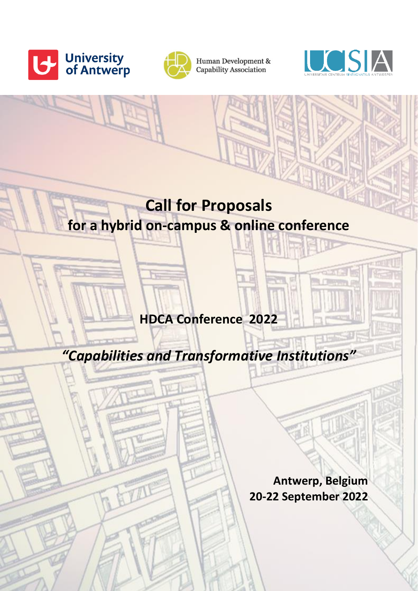



Human Development & Capability Association



# **Call for Proposals for a hybrid on-campus & online conference**

**HDCA Conference 2022**

*"Capabilities and Transformative Institutions"*

**Antwerp, Belgium 20-22 September 2022**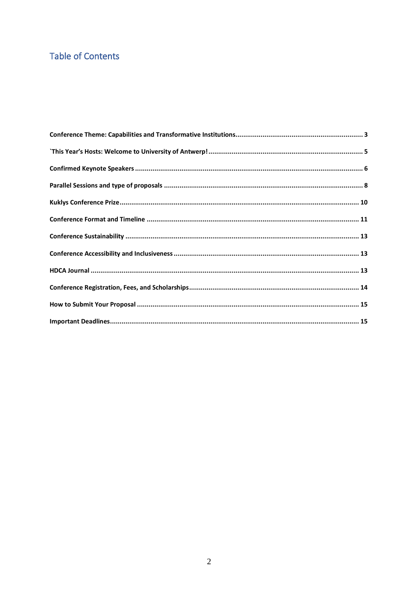## **Table of Contents**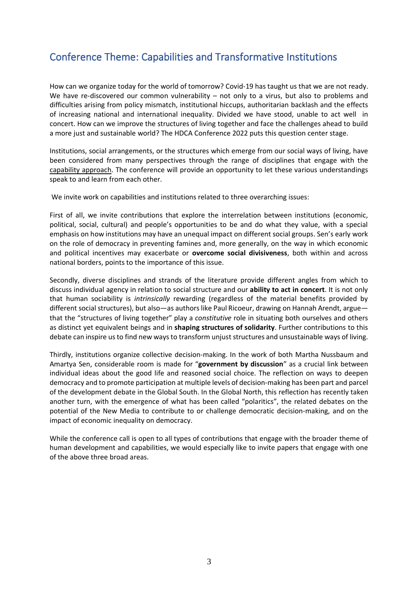### <span id="page-2-0"></span>Conference Theme: Capabilities and Transformative Institutions

How can we organize today for the world of tomorrow? Covid-19 has taught us that we are not ready. We have re-discovered our common vulnerability – not only to a virus, but also to problems and difficulties arising from policy mismatch, institutional hiccups, authoritarian backlash and the effects of increasing national and international inequality. Divided we have stood, unable to act well in concert. How can we improve the structures of living together and face the challenges ahead to build a more just and sustainable world? The HDCA Conference 2022 puts this question center stage.

Institutions, social arrangements, or the structures which emerge from our social ways of living, have been considered from many perspectives through the range of disciplines that engage with the capability [approach.](https://hd-ca.org/) The conference will provide an opportunity to let these various understandings speak to and learn from each other.

We invite work on capabilities and institutions related to three overarching issues:

First of all, we invite contributions that explore the interrelation between institutions (economic, political, social, cultural) and people's opportunities to be and do what they value, with a special emphasis on how institutions may have an unequal impact on different social groups. Sen's early work on the role of democracy in preventing famines and, more generally, on the way in which economic and political incentives may exacerbate or **overcome social divisiveness**, both within and across national borders, points to the importance of this issue.

Secondly, diverse disciplines and strands of the literature provide different angles from which to discuss individual agency in relation to social structure and our **ability to act in concert**. It is not only that human sociability is *intrinsically* rewarding (regardless of the material benefits provided by different social structures), but also—as authors like Paul Ricoeur, drawing on Hannah Arendt, argue that the "structures of living together" play a *constitutive* role in situating both ourselves and others as distinct yet equivalent beings and in **shaping structures of solidarity**. Further contributions to this debate can inspire us to find new ways to transform unjust structures and unsustainable ways of living.

Thirdly, institutions organize collective decision-making. In the work of both Martha Nussbaum and Amartya Sen, considerable room is made for "**government by discussion**" as a crucial link between individual ideas about the good life and reasoned social choice. The reflection on ways to deepen democracy and to promote participation at multiple levels of decision-making has been part and parcel of the development debate in the Global South. In the Global North, this reflection has recently taken another turn, with the emergence of what has been called "polaritics", the related debates on the potential of the New Media to contribute to or challenge democratic decision-making, and on the impact of economic inequality on democracy.

While the conference call is open to all types of contributions that engage with the broader theme of human development and capabilities, we would especially like to invite papers that engage with one of the above three broad areas.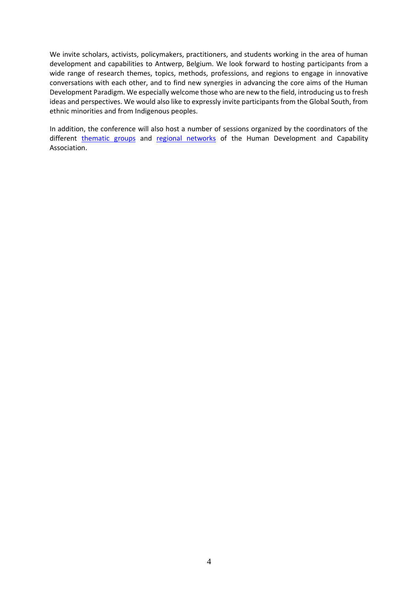We invite scholars, activists, policymakers, practitioners, and students working in the area of human development and capabilities to Antwerp, Belgium. We look forward to hosting participants from a wide range of research themes, topics, methods, professions, and regions to engage in innovative conversations with each other, and to find new synergies in advancing the core aims of the Human Development Paradigm. We especially welcome those who are new to the field, introducing us to fresh ideas and perspectives. We would also like to expressly invite participants from the Global South, from ethnic minorities and from Indigenous peoples.

<span id="page-3-0"></span>In addition, the conference will also host a number of sessions organized by the coordinators of the different [thematic groups](https://hd-ca.org/thematic-groups) and [regional networks](https://hd-ca.org/regional-networks) of the Human Development and Capability Association.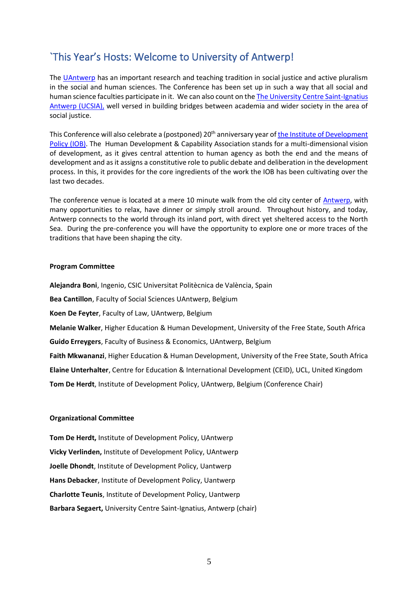### `This Year's Hosts: Welcome to University of Antwerp!

The [UAntwerp](https://www.uantwerpen.be/nl/) has an important research and teaching tradition in social justice and active pluralism in the social and human sciences. The Conference has been set up in such a way that all social and human science faculties participate in it. We can also count on th[e The University Centre Saint-Ignatius](https://ucsia.org/home-en/organization/what-we-do/)  [Antwerp \(UCSIA\),](https://ucsia.org/home-en/organization/what-we-do/) well versed in building bridges between academia and wider society in the area of social justice.

This Conference will also celebrate a (postponed) 20<sup>th</sup> anniversary year of the Institute of Development [Policy \(IOB\).](https://www.uantwerpen.be/en/about-uantwerp/faculties/institute-of-development-policy/) The Human Development & Capability Association stands for a multi-dimensional vision of development, as it gives central attention to human agency as both the end and the means of development and as it assigns a constitutive role to public debate and deliberation in the development process. In this, it provides for the core ingredients of the work the IOB has been cultivating over the last two decades.

The conference venue is located at a mere 10 minute walk from the old city center of [Antwerp,](https://www.visitantwerpen.be/en/home) with many opportunities to relax, have dinner or simply stroll around. Throughout history, and today, Antwerp connects to the world through its inland port, with direct yet sheltered access to the North Sea. During the pre-conference you will have the opportunity to explore one or more traces of the traditions that have been shaping the city.

#### **Program Committee**

**Alejandra Boni**, Ingenio, CSIC Universitat Politècnica de València, Spain **Bea Cantillon**, Faculty of Social Sciences UAntwerp, Belgium **Koen De Feyter**, Faculty of Law, UAntwerp, Belgium **Melanie Walker**, Higher Education & Human Development, University of the Free State, South Africa **Guido Erreygers**, Faculty of Business & Economics, UAntwerp, Belgium **Faith Mkwananzi**, Higher Education & Human Development, University of the Free State, South Africa **Elaine Unterhalter**, Centre for Education & International Development (CEID), UCL, United Kingdom **Tom De Herdt**, Institute of Development Policy, UAntwerp, Belgium (Conference Chair)

#### **Organizational Committee**

**Tom De Herdt,** Institute of Development Policy, UAntwerp **Vicky Verlinden,** Institute of Development Policy, UAntwerp **Joelle Dhondt**, Institute of Development Policy, Uantwerp **Hans Debacker**, Institute of Development Policy, Uantwerp **Charlotte Teunis**, Institute of Development Policy, Uantwerp **Barbara Segaert,** University Centre Saint-Ignatius, Antwerp (chair)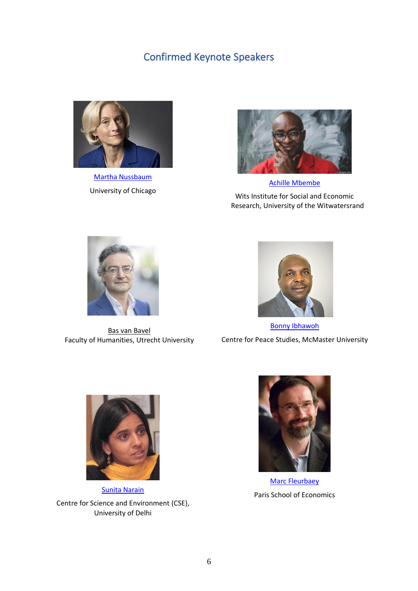### Confirmed Keynote Speakers

<span id="page-5-0"></span>

[Martha Nussbaum](https://www.law.uchicago.edu/faculty/nussbaum) University of Chicago



[Achille Mbembe](https://wiser.wits.ac.za/users/achille-mbembe) Wits Institute for Social and Economic Research, University of the Witwatersrand



[Bas van Bavel](https://www.uu.nl/staff/BJPvanBavel) Faculty of Humanities, Utrecht University



[Bonny Ibhawoh](https://ibhawoh.humanities.mcmaster.ca/)  Centre for Peace Studies, McMaster University



[Sunita Narain](https://www.cseindia.org/page/sunita-narain) Centre for Science and Environment (CSE), University of Delhi



[Marc Fleurbaey](https://www.parisschoolofeconomics.eu/en/news/marc-fleurbaey-joins-pse-on-july-1-2020/) Paris School of Economics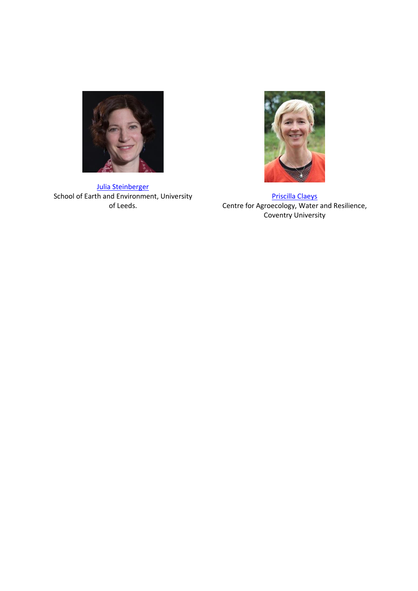

<span id="page-6-0"></span>[Julia Steinberger](https://environment.leeds.ac.uk/see/staff/1553/professor-julia-steinberger) School of Earth and Environment, University of Leeds.



[Priscilla Claeys](https://pureportal.coventry.ac.uk/en/persons/priscilla-claeys) Centre for Agroecology, Water and Resilience, Coventry University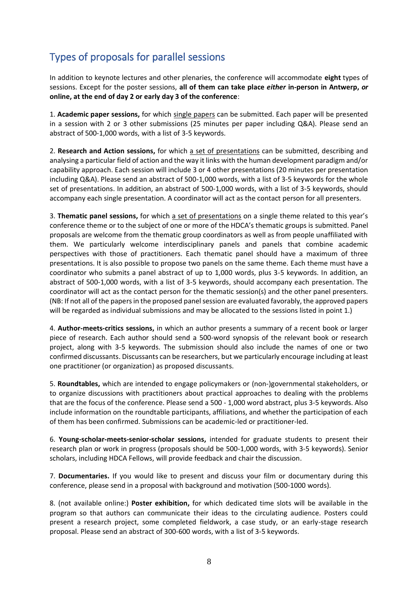# Types of proposals for parallel sessions

In addition to keynote lectures and other plenaries, the conference will accommodate **eight** types of sessions. Except for the poster sessions, **all of them can take place** *either* **in-person in Antwerp,** *or*  **online, at the end of day 2 or early day 3 of the conference**:

1. **Academic paper sessions,** for which single papers can be submitted. Each paper will be presented in a session with 2 or 3 other submissions (25 minutes per paper including Q&A). Please send an abstract of 500-1,000 words, with a list of 3-5 keywords.

2. **Research and Action sessions,** for which a set of presentations can be submitted, describing and analysing a particular field of action and the way it links with the human development paradigm and/or capability approach. Each session will include 3 or 4 other presentations (20 minutes per presentation including Q&A). Please send an abstract of 500-1,000 words, with a list of 3-5 keywords for the whole set of presentations. In addition, an abstract of 500-1,000 words, with a list of 3-5 keywords, should accompany each single presentation. A coordinator will act as the contact person for all presenters.

3. **Thematic panel sessions,** for which a set of presentations on a single theme related to this year's conference theme or to the subject of one or more of the HDCA's thematic groups is submitted. Panel proposals are welcome from the thematic group coordinators as well as from people unaffiliated with them. We particularly welcome interdisciplinary panels and panels that combine academic perspectives with those of practitioners. Each thematic panel should have a maximum of three presentations. It is also possible to propose two panels on the same theme. Each theme must have a coordinator who submits a panel abstract of up to 1,000 words, plus 3-5 keywords. In addition, an abstract of 500-1,000 words, with a list of 3-5 keywords, should accompany each presentation. The coordinator will act as the contact person for the thematic session(s) and the other panel presenters. (NB: If not all of the papers in the proposed panel session are evaluated favorably, the approved papers will be regarded as individual submissions and may be allocated to the sessions listed in point 1.)

4. **Author-meets-critics sessions,** in which an author presents a summary of a recent book or larger piece of research. Each author should send a 500-word synopsis of the relevant book or research project, along with 3-5 keywords. The submission should also include the names of one or two confirmed discussants. Discussants can be researchers, but we particularly encourage including at least one practitioner (or organization) as proposed discussants.

5. **Roundtables,** which are intended to engage policymakers or (non-)governmental stakeholders, or to organize discussions with practitioners about practical approaches to dealing with the problems that are the focus of the conference. Please send a 500 - 1,000 word abstract, plus 3-5 keywords. Also include information on the roundtable participants, affiliations, and whether the participation of each of them has been confirmed. Submissions can be academic-led or practitioner-led.

6. **Young-scholar-meets-senior-scholar sessions,** intended for graduate students to present their research plan or work in progress (proposals should be 500-1,000 words, with 3-5 keywords). Senior scholars, including HDCA Fellows, will provide feedback and chair the discussion.

7. **Documentaries.** If you would like to present and discuss your film or documentary during this conference, please send in a proposal with background and motivation (500-1000 words).

8. (not available online:) **Poster exhibition,** for which dedicated time slots will be available in the program so that authors can communicate their ideas to the circulating audience. Posters could present a research project, some completed fieldwork, a case study, or an early-stage research proposal. Please send an abstract of 300-600 words, with a list of 3-5 keywords.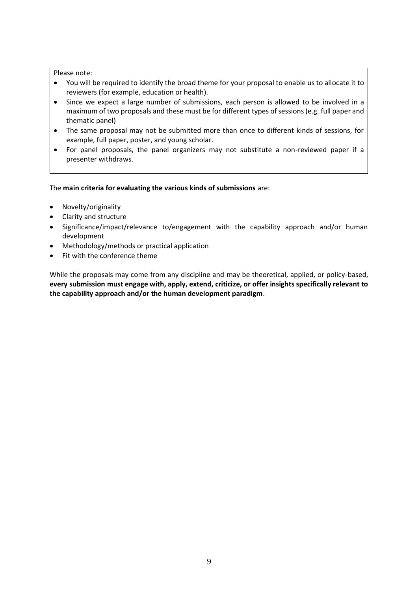#### Please note:

- You will be required to identify the broad theme for your proposal to enable us to allocate it to reviewers (for example, education or health).
- Since we expect a large number of submissions, each person is allowed to be involved in a maximum of two proposals and these must be for different types of sessions (e.g. full paper and thematic panel)
- The same proposal may not be submitted more than once to different kinds of sessions, for example, full paper, poster, and young scholar.
- For panel proposals, the panel organizers may not substitute a non-reviewed paper if a presenter withdraws.

The **main criteria for evaluating the various kinds of submissions** are:

- Novelty/originality
- Clarity and structure
- Significance/impact/relevance to/engagement with the capability approach and/or human development
- Methodology/methods or practical application
- Fit with the conference theme

While the proposals may come from any discipline and may be theoretical, applied, or policy-based, **every submission must engage with, apply, extend, criticize, or offer insights specifically relevant to the capability approach and/or the human development paradigm**.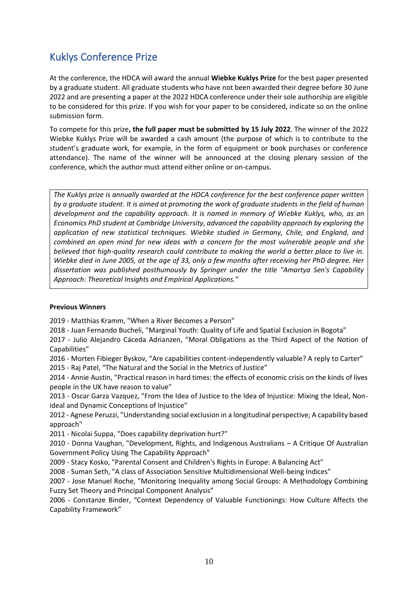# <span id="page-9-0"></span>Kuklys Conference Prize

At the conference, the HDCA will award the annual **Wiebke Kuklys Prize** for the best paper presented by a graduate student. All graduate students who have not been awarded their degree before 30 June 2022 and are presenting a paper at the 2022 HDCA conference under their sole authorship are eligible to be considered for this prize. If you wish for your paper to be considered, indicate so on the online submission form.

To compete for this prize**, the full paper must be submitted by 15 July 2022**. The winner of the 2022 Wiebke Kuklys Prize will be awarded a cash amount (the purpose of which is to contribute to the student's graduate work, for example, in the form of equipment or book purchases or conference attendance). The name of the winner will be announced at the closing plenary session of the conference, which the author must attend either online or on-campus.

*The Kuklys prize is annually awarded at the HDCA conference for the best conference paper written by a graduate student. It is aimed at promoting the work of graduate students in the field of human development and the capability approach. It is named in memory of Wiebke Kuklys, who, as an Economics PhD student at Cambridge University, advanced the capability approach by exploring the application of new statistical techniques. Wiebke studied in Germany, Chile, and England, and combined an open mind for new ideas with a concern for the most vulnerable people and she believed that high-quality research could contribute to making the world a better place to live in. Wiebke died in June 2005, at the age of 33, only a few months after receiving her PhD degree. Her dissertation was published posthumously by Springer under the title "Amartya Sen's Capability Approach: Theoretical Insights and Empirical Applications."*

#### **Previous Winners**

2019 - Matthias Kramm, "When a River Becomes a Person"

2018 - Juan Fernando Bucheli, "Marginal Youth: Quality of Life and Spatial Exclusion in Bogota"

2017 - Julio Alejandro Cáceda Adrianzen, "Moral Obligations as the Third Aspect of the Notion of Capabilities"

2016 - Morten Fibieger Byskov, "Are capabilities content-independently valuable? A reply to Carter" 2015 - Raj Patel, "The Natural and the Social in the Metrics of Justice"

2014 - Annie Austin, "Practical reason in hard times: the effects of economic crisis on the kinds of lives people in the UK have reason to value"

2013 - Oscar Garza Vazquez, "From the Idea of Justice to the Idea of Injustice: Mixing the Ideal, Nonideal and Dynamic Conceptions of Injustice"

2012 - Agnese Peruzzi, "Understanding social exclusion in a longitudinal perspective; A capability based approach"

2011 - Nicolai Suppa, "Does capability deprivation hurt?"

2010 - Donna Vaughan, "Development, Rights, and Indigenous Australians – A Critique Of Australian Government Policy Using The Capability Approach"

2009 - Stacy Kosko, "Parental Consent and Children's Rights in Europe: A Balancing Act"

2008 - Suman Seth, "A class of Association Sensitive Multidimensional Well-being Indices"

2007 - Jose Manuel Roche, "Monitoring Inequality among Social Groups: A Methodology Combining Fuzzy Set Theory and Principal Component Analysis"

2006 - Constanze Binder, "Context Dependency of Valuable Functionings: How Culture Affects the Capability Framework"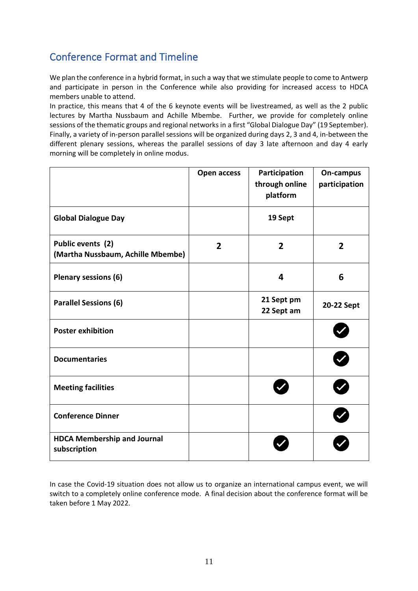## <span id="page-10-0"></span>Conference Format and Timeline

We plan the conference in a hybrid format, in such a way that we stimulate people to come to Antwerp and participate in person in the Conference while also providing for increased access to HDCA members unable to attend.

In practice, this means that 4 of the 6 keynote events will be livestreamed, as well as the 2 public lectures by Martha Nussbaum and Achille Mbembe. Further, we provide for completely online sessions of the thematic groups and regional networks in a first "Global Dialogue Day" (19 September). Finally, a variety of in-person parallel sessions will be organized during days 2, 3 and 4, in-between the different plenary sessions, whereas the parallel sessions of day 3 late afternoon and day 4 early morning will be completely in online modus.

|                                                        | Open access    | Participation<br>through online<br>platform | On-campus<br>participation |
|--------------------------------------------------------|----------------|---------------------------------------------|----------------------------|
| <b>Global Dialogue Day</b>                             |                | 19 Sept                                     |                            |
| Public events (2)<br>(Martha Nussbaum, Achille Mbembe) | $\overline{2}$ | $\overline{2}$                              | $\overline{2}$             |
| Plenary sessions (6)                                   |                | 4                                           | 6                          |
| <b>Parallel Sessions (6)</b>                           |                | 21 Sept pm<br>22 Sept am                    | 20-22 Sept                 |
| <b>Poster exhibition</b>                               |                |                                             |                            |
| <b>Documentaries</b>                                   |                |                                             |                            |
| <b>Meeting facilities</b>                              |                |                                             |                            |
| <b>Conference Dinner</b>                               |                |                                             |                            |
| <b>HDCA Membership and Journal</b><br>subscription     |                |                                             |                            |

In case the Covid-19 situation does not allow us to organize an international campus event, we will switch to a completely online conference mode. A final decision about the conference format will be taken before 1 May 2022.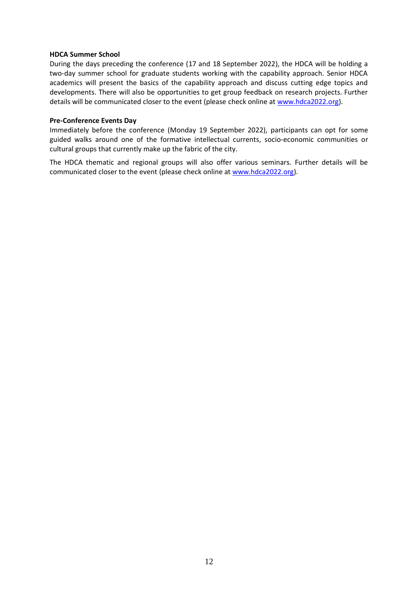#### **HDCA Summer School**

During the days preceding the conference (17 and 18 September 2022), the HDCA will be holding a two-day summer school for graduate students working with the capability approach. Senior HDCA academics will present the basics of the capability approach and discuss cutting edge topics and developments. There will also be opportunities to get group feedback on research projects. Further details will be communicated closer to the event (please check online at [www.hdca2022.org\)](http://www.hdca2022.org/).

#### **Pre-Conference Events Day**

Immediately before the conference (Monday 19 September 2022), participants can opt for some guided walks around one of the formative intellectual currents, socio-economic communities or cultural groups that currently make up the fabric of the city.

The HDCA thematic and regional groups will also offer various seminars. Further details will be communicated closer to the event (please check online at [www.hdca2022.org\)](http://www.hdca2022.org/).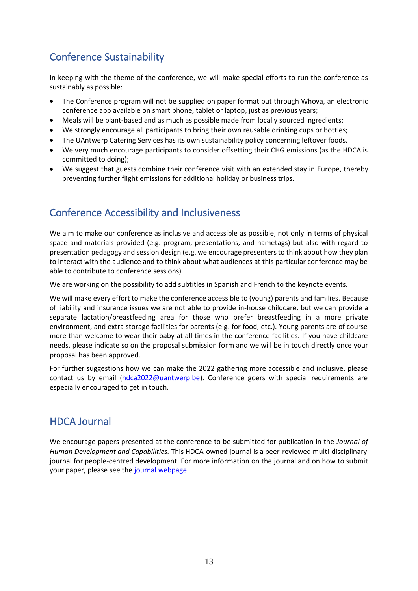# <span id="page-12-0"></span>Conference Sustainability

In keeping with the theme of the conference, we will make special efforts to run the conference as sustainably as possible:

- The Conference program will not be supplied on paper format but through Whova, an electronic conference app available on smart phone, tablet or laptop, just as previous years;
- Meals will be plant-based and as much as possible made from locally sourced ingredients;
- We strongly encourage all participants to bring their own reusable drinking cups or bottles;
- The UAntwerp Catering Services has its own sustainability policy concerning leftover foods.
- We very much encourage participants to consider offsetting their CHG emissions (as the HDCA is committed to doing);
- We suggest that guests combine their conference visit with an extended stay in Europe, thereby preventing further flight emissions for additional holiday or business trips.

### <span id="page-12-1"></span>Conference Accessibility and Inclusiveness

We aim to make our conference as inclusive and accessible as possible, not only in terms of physical space and materials provided (e.g. program, presentations, and nametags) but also with regard to presentation pedagogy and session design (e.g. we encourage presenters to think about how they plan to interact with the audience and to think about what audiences at this particular conference may be able to contribute to conference sessions).

We are working on the possibility to add subtitles in Spanish and French to the keynote events.

We will make every effort to make the conference accessible to (young) parents and families. Because of liability and insurance issues we are not able to provide in-house childcare, but we can provide a separate lactation/breastfeeding area for those who prefer breastfeeding in a more private environment, and extra storage facilities for parents (e.g. for food, etc.). Young parents are of course more than welcome to wear their baby at all times in the conference facilities. If you have childcare needs, please indicate so on the proposal submission form and we will be in touch directly once your proposal has been approved.

For further suggestions how we can make the 2022 gathering more accessible and inclusive, please contact us by email (hdca2022@uantwerp.be). Conference goers with special requirements are especially encouraged to get in touch.

### <span id="page-12-2"></span>HDCA Journal

We encourage papers presented at the conference to be submitted for publication in the *Journal of Human Development and Capabilities.* This HDCA-owned journal is a peer-reviewed multi-disciplinary journal for people-centred development. For more information on the journal and on how to submit your paper, please see the [journal webpage.](https://hd-ca.org/publication-and-resources/journal-of-human-development-and-capabilities)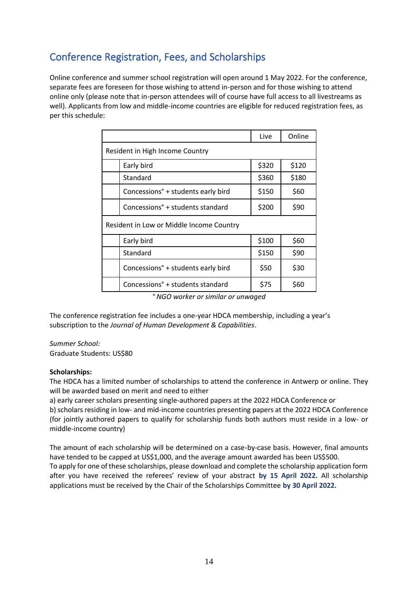# <span id="page-13-0"></span>Conference Registration, Fees, and Scholarships

Online conference and summer school registration will open around 1 May 2022. For the conference, separate fees are foreseen for those wishing to attend in-person and for those wishing to attend online only (please note that in-person attendees will of course have full access to all livestreams as well). Applicants from low and middle-income countries are eligible for reduced registration fees, as per this schedule:

|                                              | Live  | Online |  |
|----------------------------------------------|-------|--------|--|
| Resident in High Income Country              |       |        |  |
| Early bird                                   | \$320 | \$120  |  |
| Standard                                     | \$360 | \$180  |  |
| Concessions° + students early bird           | \$150 | \$60   |  |
| Concessions <sup>°</sup> + students standard | \$200 | \$90   |  |
| Resident in Low or Middle Income Country     |       |        |  |
| Early bird                                   | \$100 | \$60   |  |
| Standard                                     | \$150 | \$90   |  |
| Concessions° + students early bird           | \$50  | \$30   |  |
| Concessions <sup>°</sup> + students standard | \$75  | \$60   |  |

*° NGO worker or similar or unwaged*

The conference registration fee includes a one-year HDCA membership, including a year's subscription to the *Journal of Human Development & Capabilities*.

*Summer School:* Graduate Students: US\$80

#### **Scholarships:**

The HDCA has a limited number of scholarships to attend the conference in Antwerp or online. They will be awarded based on merit and need to either

a) early career scholars presenting single-authored papers at the 2022 HDCA Conference or

b) scholars residing in low- and mid-income countries presenting papers at the 2022 HDCA Conference (for jointly authored papers to qualify for scholarship funds both authors must reside in a low- or middle-income country)

The amount of each scholarship will be determined on a case-by-case basis. However, final amounts have tended to be capped at US\$1,000, and the average amount awarded has been US\$500.

To apply for one of these scholarships, please download and complete the scholarship application form after you have received the referees' review of your abstract **by 15 April 2022.** All scholarship applications must be received by the Chair of the Scholarships Committee **by 30 April 2022.**